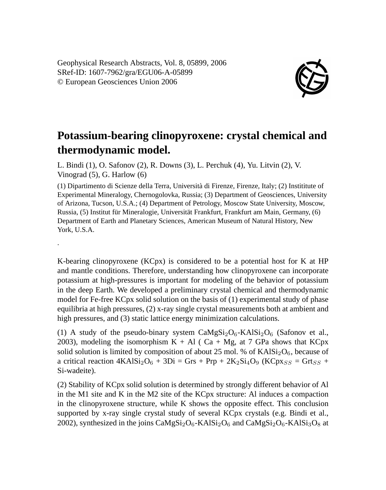Geophysical Research Abstracts, Vol. 8, 05899, 2006 SRef-ID: 1607-7962/gra/EGU06-A-05899 © European Geosciences Union 2006

.



## **Potassium-bearing clinopyroxene: crystal chemical and thermodynamic model.**

L. Bindi (1), O. Safonov (2), R. Downs (3), L. Perchuk (4), Yu. Litvin (2), V. Vinograd (5), G. Harlow (6)

(1) Dipartimento di Scienze della Terra, Università di Firenze, Firenze, Italy; (2) Instititute of Experimental Mineralogy, Chernogolovka, Russia; (3) Department of Geosciences, University of Arizona, Tucson, U.S.A.; (4) Department of Petrology, Moscow State University, Moscow, Russia, (5) Institut für Mineralogie, Universität Frankfurt, Frankfurt am Main, Germany, (6) Department of Earth and Planetary Sciences, American Museum of Natural History, New York, U.S.A.

K-bearing clinopyroxene (KCpx) is considered to be a potential host for K at HP and mantle conditions. Therefore, understanding how clinopyroxene can incorporate potassium at high-pressures is important for modeling of the behavior of potassium in the deep Earth. We developed a preliminary crystal chemical and thermodynamic model for Fe-free KCpx solid solution on the basis of (1) experimental study of phase equilibria at high pressures, (2) x-ray single crystal measurements both at ambient and high pressures, and (3) static lattice energy minimization calculations.

(1) A study of the pseudo-binary system  $CaMgSi<sub>2</sub>O<sub>6</sub> - KAlSi<sub>2</sub>O<sub>6</sub>$  (Safonov et al., 2003), modeling the isomorphism  $K + Al$  ( Ca + Mg, at 7 GPa shows that KCpx solid solution is limited by composition of about 25 mol. % of  $KAISi<sub>2</sub>O<sub>6</sub>$ , because of a critical reaction  $4KAISi<sub>2</sub>O<sub>6</sub> + 3Di = Grs + Prp + 2K<sub>2</sub>Si<sub>4</sub>O<sub>9</sub> (KCp<sub>NSS</sub> = Grt<sub>SS</sub> +$ Si-wadeite).

(2) Stability of KCpx solid solution is determined by strongly different behavior of Al in the M1 site and K in the M2 site of the KCpx structure: Al induces a compaction in the clinopyroxene structure, while K shows the opposite effect. This conclusion supported by x-ray single crystal study of several KCpx crystals (e.g. Bindi et al., 2002), synthesized in the joins  $CaMgSi<sub>2</sub>O<sub>6</sub>$ -KAl $Si<sub>2</sub>O<sub>6</sub>$  and  $CaMgSi<sub>2</sub>O<sub>6</sub>$ -KAl $Si<sub>3</sub>O<sub>8</sub>$  at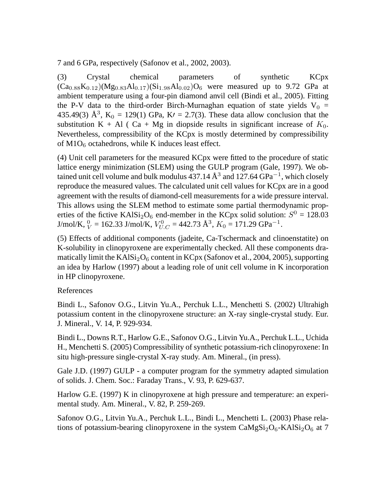7 and 6 GPa, respectively (Safonov et al., 2002, 2003).

(3) Crystal chemical parameters of synthetic KCpx  $(Ca_{0.88}K_{0.12})(Mg_{0.83}Al_{0.17})(Si_{1.98}Al_{0.02})O_6$  were measured up to 9.72 GPa at ambient temperature using a four-pin diamond anvil cell (Bindi et al., 2005). Fitting the P-V data to the third-order Birch-Murnaghan equation of state yields  $V_0$  = 435.49(3)  $\AA^3$ , K<sub>0</sub> = 129(1) GPa, K<sub>l</sub> = 2.7(3). These data allow conclusion that the substitution K + Al ( Ca + Mg in diopside results in significant increase of  $K_0$ . Nevertheless, compressibility of the KCpx is mostly determined by compressibility of  $M1O<sub>6</sub>$  octahedrons, while K induces least effect.

(4) Unit cell parameters for the measured KCpx were fitted to the procedure of static lattice energy minimization (SLEM) using the GULP program (Gale, 1997). We obtained unit cell volume and bulk modulus 437.14  $\AA^3$  and 127.64  $GPa^{-1}$ , which closely reproduce the measured values. The calculated unit cell values for KCpx are in a good agreement with the results of diamond-cell measurements for a wide pressure interval. This allows using the SLEM method to estimate some partial thermodynamic properties of the fictive KAlSi<sub>2</sub>O<sub>6</sub> end-member in the KCpx solid solution:  $S^0 = 128.03$ J/mol/K,  $_{V}^{0}$  = 162.33 J/mol/K,  $V_{U.C}^{0}$  = 442.73 Å<sup>3</sup>,  $K_{0}$  = 171.29 GPa<sup>-1</sup>.

(5) Effects of additional components (jadeite, Ca-Tschermack and clinoenstatite) on K-solubility in clinopyroxene are experimentally checked. All these components dramatically limit the KAlSi<sub>2</sub>O<sub>6</sub> content in KCpx (Safonov et al., 2004, 2005), supporting an idea by Harlow (1997) about a leading role of unit cell volume in K incorporation in HP clinopyroxene.

## References

Bindi L., Safonov O.G., Litvin Yu.A., Perchuk L.L., Menchetti S. (2002) Ultrahigh potassium content in the clinopyroxene structure: an X-ray single-crystal study. Eur. J. Mineral., V. 14, P. 929-934.

Bindi L., Downs R.T., Harlow G.E., Safonov O.G., Litvin Yu.A., Perchuk L.L., Uchida H., Menchetti S. (2005) Compressibility of synthetic potassium-rich clinopyroxene: In situ high-pressure single-crystal X-ray study. Am. Mineral., (in press).

Gale J.D. (1997) GULP - a computer program for the symmetry adapted simulation of solids. J. Chem. Soc.: Faraday Trans., V. 93, P. 629-637.

Harlow G.E. (1997) K in clinopyroxene at high pressure and temperature: an experimental study. Am. Mineral., V. 82, P. 259-269.

Safonov O.G., Litvin Yu.A., Perchuk L.L., Bindi L., Menchetti L. (2003) Phase relations of potassium-bearing clinopyroxene in the system  $CaMgSi<sub>2</sub>O<sub>6</sub> - KAlSi<sub>2</sub>O<sub>6</sub>$  at 7